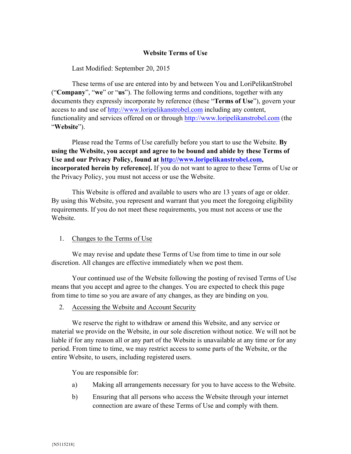### **Website Terms of Use**

Last Modified: September 20, 2015

These terms of use are entered into by and between You and LoriPelikanStrobel ("**Company**", "**we**" or "**us**"). The following terms and conditions, together with any documents they expressly incorporate by reference (these "**Terms of Use**"), govern your access to and use of http://www.loripelikanstrobel.com including any content, functionality and services offered on or through http://www.loripelikanstrobel.com (the "**Website**").

Please read the Terms of Use carefully before you start to use the Website. **By using the Website, you accept and agree to be bound and abide by these Terms of Use and our Privacy Policy, found at http://www.loripelikanstrobel.com, incorporated herein by reference].** If you do not want to agree to these Terms of Use or the Privacy Policy, you must not access or use the Website.

This Website is offered and available to users who are 13 years of age or older. By using this Website, you represent and warrant that you meet the foregoing eligibility requirements. If you do not meet these requirements, you must not access or use the Website.

### 1. Changes to the Terms of Use

We may revise and update these Terms of Use from time to time in our sole discretion. All changes are effective immediately when we post them.

Your continued use of the Website following the posting of revised Terms of Use means that you accept and agree to the changes. You are expected to check this page from time to time so you are aware of any changes, as they are binding on you.

2. Accessing the Website and Account Security

We reserve the right to withdraw or amend this Website, and any service or material we provide on the Website, in our sole discretion without notice. We will not be liable if for any reason all or any part of the Website is unavailable at any time or for any period. From time to time, we may restrict access to some parts of the Website, or the entire Website, to users, including registered users.

You are responsible for:

- a) Making all arrangements necessary for you to have access to the Website.
- b) Ensuring that all persons who access the Website through your internet connection are aware of these Terms of Use and comply with them.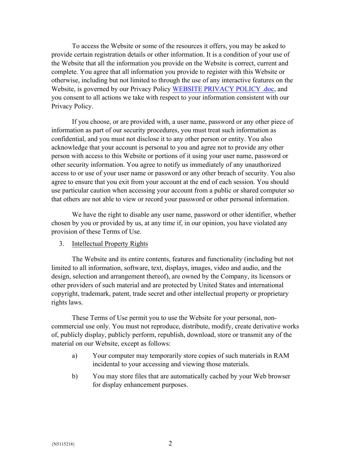To access the Website or some of the resources it offers, you may be asked to provide certain registration details or other information. It is a condition of your use of the Website that all the information you provide on the Website is correct, current and complete. You agree that all information you provide to register with this Website or otherwise, including but not limited to through the use of any interactive features on the Website, is governed by our Privacy Policy WEBSITE PRIVACY POLICY .doc, and you consent to all actions we take with respect to your information consistent with our Privacy Policy.

If you choose, or are provided with, a user name, password or any other piece of information as part of our security procedures, you must treat such information as confidential, and you must not disclose it to any other person or entity. You also acknowledge that your account is personal to you and agree not to provide any other person with access to this Website or portions of it using your user name, password or other security information. You agree to notify us immediately of any unauthorized access to or use of your user name or password or any other breach of security. You also agree to ensure that you exit from your account at the end of each session. You should use particular caution when accessing your account from a public or shared computer so that others are not able to view or record your password or other personal information.

We have the right to disable any user name, password or other identifier, whether chosen by you or provided by us, at any time if, in our opinion, you have violated any provision of these Terms of Use.

#### 3. Intellectual Property Rights

The Website and its entire contents, features and functionality (including but not limited to all information, software, text, displays, images, video and audio, and the design, selection and arrangement thereof), are owned by the Company, its licensors or other providers of such material and are protected by United States and international copyright, trademark, patent, trade secret and other intellectual property or proprietary rights laws.

These Terms of Use permit you to use the Website for your personal, noncommercial use only. You must not reproduce, distribute, modify, create derivative works of, publicly display, publicly perform, republish, download, store or transmit any of the material on our Website, except as follows:

- a) Your computer may temporarily store copies of such materials in RAM incidental to your accessing and viewing those materials.
- b) You may store files that are automatically cached by your Web browser for display enhancement purposes.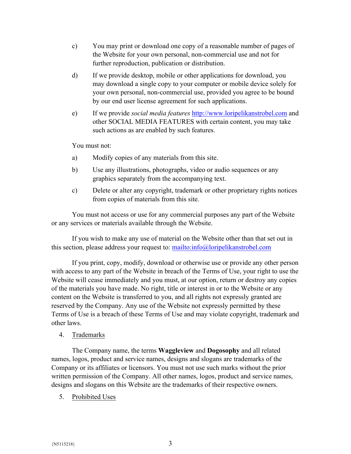- c) You may print or download one copy of a reasonable number of pages of the Website for your own personal, non-commercial use and not for further reproduction, publication or distribution.
- d) If we provide desktop, mobile or other applications for download, you may download a single copy to your computer or mobile device solely for your own personal, non-commercial use, provided you agree to be bound by our end user license agreement for such applications.
- e) If we provide *social media features* http://www.loripelikanstrobel.com and other SOCIAL MEDIA FEATURES with certain content, you may take such actions as are enabled by such features.

You must not:

- a) Modify copies of any materials from this site.
- b) Use any illustrations, photographs, video or audio sequences or any graphics separately from the accompanying text.
- c) Delete or alter any copyright, trademark or other proprietary rights notices from copies of materials from this site.

You must not access or use for any commercial purposes any part of the Website or any services or materials available through the Website.

If you wish to make any use of material on the Website other than that set out in this section, please address your request to: mailto:info@loripelikanstrobel.com

If you print, copy, modify, download or otherwise use or provide any other person with access to any part of the Website in breach of the Terms of Use, your right to use the Website will cease immediately and you must, at our option, return or destroy any copies of the materials you have made. No right, title or interest in or to the Website or any content on the Website is transferred to you, and all rights not expressly granted are reserved by the Company. Any use of the Website not expressly permitted by these Terms of Use is a breach of these Terms of Use and may violate copyright, trademark and other laws.

# 4. Trademarks

The Company name, the terms **Waggleview** and **Dogosophy** and all related names, logos, product and service names, designs and slogans are trademarks of the Company or its affiliates or licensors. You must not use such marks without the prior written permission of the Company. All other names, logos, product and service names, designs and slogans on this Website are the trademarks of their respective owners.

5. Prohibited Uses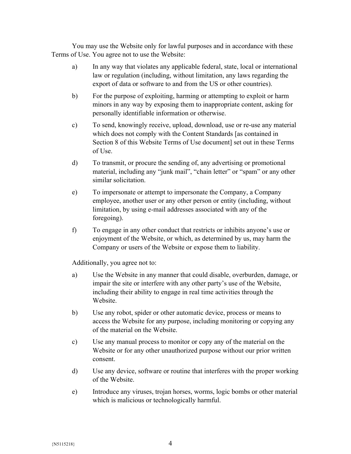You may use the Website only for lawful purposes and in accordance with these Terms of Use. You agree not to use the Website:

- a) In any way that violates any applicable federal, state, local or international law or regulation (including, without limitation, any laws regarding the export of data or software to and from the US or other countries).
- b) For the purpose of exploiting, harming or attempting to exploit or harm minors in any way by exposing them to inappropriate content, asking for personally identifiable information or otherwise.
- c) To send, knowingly receive, upload, download, use or re-use any material which does not comply with the Content Standards [as contained in Section 8 of this Website Terms of Use document] set out in these Terms of Use.
- d) To transmit, or procure the sending of, any advertising or promotional material, including any "junk mail", "chain letter" or "spam" or any other similar solicitation.
- e) To impersonate or attempt to impersonate the Company, a Company employee, another user or any other person or entity (including, without limitation, by using e-mail addresses associated with any of the foregoing).
- f) To engage in any other conduct that restricts or inhibits anyone's use or enjoyment of the Website, or which, as determined by us, may harm the Company or users of the Website or expose them to liability.

Additionally, you agree not to:

- a) Use the Website in any manner that could disable, overburden, damage, or impair the site or interfere with any other party's use of the Website, including their ability to engage in real time activities through the Website.
- b) Use any robot, spider or other automatic device, process or means to access the Website for any purpose, including monitoring or copying any of the material on the Website.
- c) Use any manual process to monitor or copy any of the material on the Website or for any other unauthorized purpose without our prior written consent.
- d) Use any device, software or routine that interferes with the proper working of the Website.
- e) Introduce any viruses, trojan horses, worms, logic bombs or other material which is malicious or technologically harmful.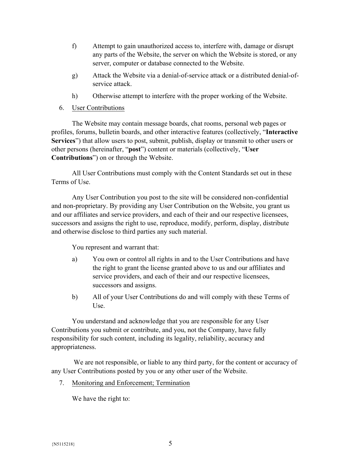- f) Attempt to gain unauthorized access to, interfere with, damage or disrupt any parts of the Website, the server on which the Website is stored, or any server, computer or database connected to the Website.
- g) Attack the Website via a denial-of-service attack or a distributed denial-ofservice attack.
- h) Otherwise attempt to interfere with the proper working of the Website.
- 6. User Contributions

The Website may contain message boards, chat rooms, personal web pages or profiles, forums, bulletin boards, and other interactive features (collectively, "**Interactive Services**") that allow users to post, submit, publish, display or transmit to other users or other persons (hereinafter, "**post**") content or materials (collectively, "**User Contributions**") on or through the Website.

All User Contributions must comply with the Content Standards set out in these Terms of Use.

Any User Contribution you post to the site will be considered non-confidential and non-proprietary. By providing any User Contribution on the Website, you grant us and our affiliates and service providers, and each of their and our respective licensees, successors and assigns the right to use, reproduce, modify, perform, display, distribute and otherwise disclose to third parties any such material.

You represent and warrant that:

- a) You own or control all rights in and to the User Contributions and have the right to grant the license granted above to us and our affiliates and service providers, and each of their and our respective licensees, successors and assigns.
- b) All of your User Contributions do and will comply with these Terms of Use.

You understand and acknowledge that you are responsible for any User Contributions you submit or contribute, and you, not the Company, have fully responsibility for such content, including its legality, reliability, accuracy and appropriateness.

We are not responsible, or liable to any third party, for the content or accuracy of any User Contributions posted by you or any other user of the Website.

7. Monitoring and Enforcement; Termination

We have the right to: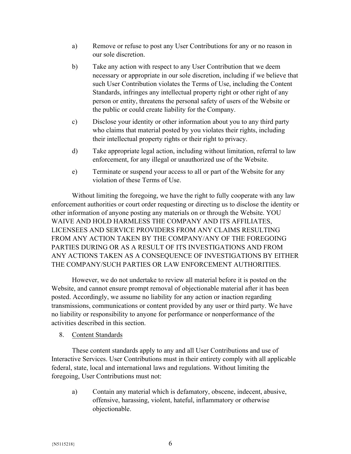- a) Remove or refuse to post any User Contributions for any or no reason in our sole discretion.
- b) Take any action with respect to any User Contribution that we deem necessary or appropriate in our sole discretion, including if we believe that such User Contribution violates the Terms of Use, including the Content Standards, infringes any intellectual property right or other right of any person or entity, threatens the personal safety of users of the Website or the public or could create liability for the Company.
- c) Disclose your identity or other information about you to any third party who claims that material posted by you violates their rights, including their intellectual property rights or their right to privacy.
- d) Take appropriate legal action, including without limitation, referral to law enforcement, for any illegal or unauthorized use of the Website.
- e) Terminate or suspend your access to all or part of the Website for any violation of these Terms of Use.

Without limiting the foregoing, we have the right to fully cooperate with any law enforcement authorities or court order requesting or directing us to disclose the identity or other information of anyone posting any materials on or through the Website. YOU WAIVE AND HOLD HARMLESS THE COMPANY AND ITS AFFILIATES, LICENSEES AND SERVICE PROVIDERS FROM ANY CLAIMS RESULTING FROM ANY ACTION TAKEN BY THE COMPANY/ANY OF THE FOREGOING PARTIES DURING OR AS A RESULT OF ITS INVESTIGATIONS AND FROM ANY ACTIONS TAKEN AS A CONSEQUENCE OF INVESTIGATIONS BY EITHER THE COMPANY/SUCH PARTIES OR LAW ENFORCEMENT AUTHORITIES.

However, we do not undertake to review all material before it is posted on the Website, and cannot ensure prompt removal of objectionable material after it has been posted. Accordingly, we assume no liability for any action or inaction regarding transmissions, communications or content provided by any user or third party. We have no liability or responsibility to anyone for performance or nonperformance of the activities described in this section.

8. Content Standards

These content standards apply to any and all User Contributions and use of Interactive Services. User Contributions must in their entirety comply with all applicable federal, state, local and international laws and regulations. Without limiting the foregoing, User Contributions must not:

a) Contain any material which is defamatory, obscene, indecent, abusive, offensive, harassing, violent, hateful, inflammatory or otherwise objectionable.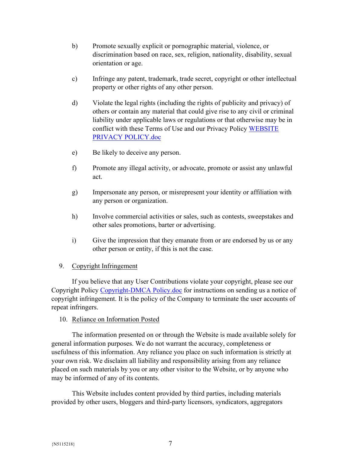- b) Promote sexually explicit or pornographic material, violence, or discrimination based on race, sex, religion, nationality, disability, sexual orientation or age.
- c) Infringe any patent, trademark, trade secret, copyright or other intellectual property or other rights of any other person.
- d) Violate the legal rights (including the rights of publicity and privacy) of others or contain any material that could give rise to any civil or criminal liability under applicable laws or regulations or that otherwise may be in conflict with these Terms of Use and our Privacy Policy WEBSITE PRIVACY POLICY.doc
- e) Be likely to deceive any person.
- f) Promote any illegal activity, or advocate, promote or assist any unlawful act.
- g) Impersonate any person, or misrepresent your identity or affiliation with any person or organization.
- h) Involve commercial activities or sales, such as contests, sweepstakes and other sales promotions, barter or advertising.
- i) Give the impression that they emanate from or are endorsed by us or any other person or entity, if this is not the case.

# 9. Copyright Infringement

If you believe that any User Contributions violate your copyright, please see our Copyright Policy Copyright-DMCA Policy.doc for instructions on sending us a notice of copyright infringement. It is the policy of the Company to terminate the user accounts of repeat infringers.

### 10. Reliance on Information Posted

The information presented on or through the Website is made available solely for general information purposes. We do not warrant the accuracy, completeness or usefulness of this information. Any reliance you place on such information is strictly at your own risk. We disclaim all liability and responsibility arising from any reliance placed on such materials by you or any other visitor to the Website, or by anyone who may be informed of any of its contents.

This Website includes content provided by third parties, including materials provided by other users, bloggers and third-party licensors, syndicators, aggregators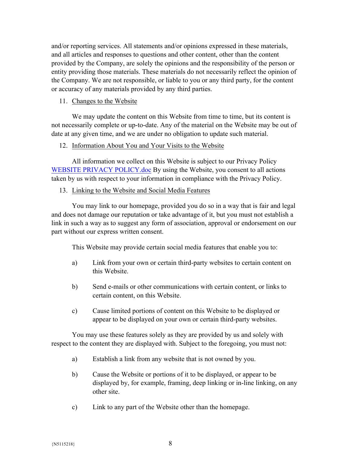and/or reporting services. All statements and/or opinions expressed in these materials, and all articles and responses to questions and other content, other than the content provided by the Company, are solely the opinions and the responsibility of the person or entity providing those materials. These materials do not necessarily reflect the opinion of the Company. We are not responsible, or liable to you or any third party, for the content or accuracy of any materials provided by any third parties.

#### 11. Changes to the Website

We may update the content on this Website from time to time, but its content is not necessarily complete or up-to-date. Any of the material on the Website may be out of date at any given time, and we are under no obligation to update such material.

#### 12. Information About You and Your Visits to the Website

All information we collect on this Website is subject to our Privacy Policy WEBSITE PRIVACY POLICY.doc By using the Website, you consent to all actions taken by us with respect to your information in compliance with the Privacy Policy.

### 13. Linking to the Website and Social Media Features

You may link to our homepage, provided you do so in a way that is fair and legal and does not damage our reputation or take advantage of it, but you must not establish a link in such a way as to suggest any form of association, approval or endorsement on our part without our express written consent.

This Website may provide certain social media features that enable you to:

- a) Link from your own or certain third-party websites to certain content on this Website.
- b) Send e-mails or other communications with certain content, or links to certain content, on this Website.
- c) Cause limited portions of content on this Website to be displayed or appear to be displayed on your own or certain third-party websites.

You may use these features solely as they are provided by us and solely with respect to the content they are displayed with. Subject to the foregoing, you must not:

- a) Establish a link from any website that is not owned by you.
- b) Cause the Website or portions of it to be displayed, or appear to be displayed by, for example, framing, deep linking or in-line linking, on any other site.
- c) Link to any part of the Website other than the homepage.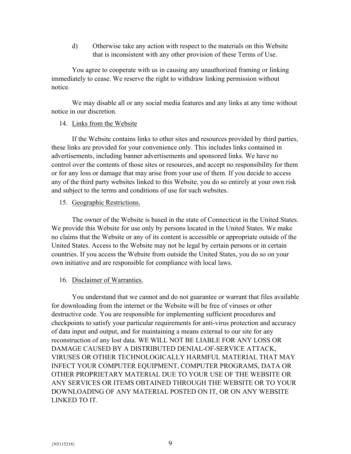d) Otherwise take any action with respect to the materials on this Website that is inconsistent with any other provision of these Terms of Use.

You agree to cooperate with us in causing any unauthorized framing or linking immediately to cease. We reserve the right to withdraw linking permission without notice.

We may disable all or any social media features and any links at any time without notice in our discretion.

### 14. Links from the Website

If the Website contains links to other sites and resources provided by third parties, these links are provided for your convenience only. This includes links contained in advertisements, including banner advertisements and sponsored links. We have no control over the contents of those sites or resources, and accept no responsibility for them or for any loss or damage that may arise from your use of them. If you decide to access any of the third party websites linked to this Website, you do so entirely at your own risk and subject to the terms and conditions of use for such websites.

### 15. Geographic Restrictions.

The owner of the Website is based in the state of Connecticut in the United States. We provide this Website for use only by persons located in the United States. We make no claims that the Website or any of its content is accessible or appropriate outside of the United States. Access to the Website may not be legal by certain persons or in certain countries. If you access the Website from outside the United States, you do so on your own initiative and are responsible for compliance with local laws.

### 16. Disclaimer of Warranties.

You understand that we cannot and do not guarantee or warrant that files available for downloading from the internet or the Website will be free of viruses or other destructive code. You are responsible for implementing sufficient procedures and checkpoints to satisfy your particular requirements for anti-virus protection and accuracy of data input and output, and for maintaining a means external to our site for any reconstruction of any lost data. WE WILL NOT BE LIABLE FOR ANY LOSS OR DAMAGE CAUSED BY A DISTRIBUTED DENIAL-OF-SERVICE ATTACK, VIRUSES OR OTHER TECHNOLOGICALLY HARMFUL MATERIAL THAT MAY INFECT YOUR COMPUTER EQUIPMENT, COMPUTER PROGRAMS, DATA OR OTHER PROPRIETARY MATERIAL DUE TO YOUR USE OF THE WEBSITE OR ANY SERVICES OR ITEMS OBTAINED THROUGH THE WEBSITE OR TO YOUR DOWNLOADING OF ANY MATERIAL POSTED ON IT, OR ON ANY WEBSITE LINKED TO IT.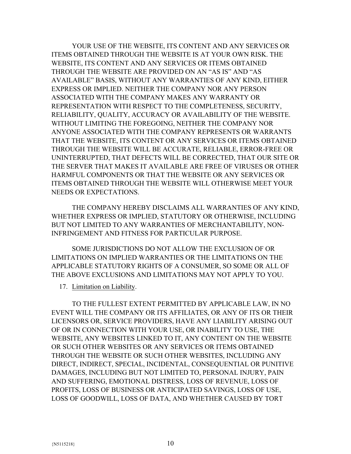YOUR USE OF THE WEBSITE, ITS CONTENT AND ANY SERVICES OR ITEMS OBTAINED THROUGH THE WEBSITE IS AT YOUR OWN RISK. THE WEBSITE, ITS CONTENT AND ANY SERVICES OR ITEMS OBTAINED THROUGH THE WEBSITE ARE PROVIDED ON AN "AS IS" AND "AS AVAILABLE" BASIS, WITHOUT ANY WARRANTIES OF ANY KIND, EITHER EXPRESS OR IMPLIED. NEITHER THE COMPANY NOR ANY PERSON ASSOCIATED WITH THE COMPANY MAKES ANY WARRANTY OR REPRESENTATION WITH RESPECT TO THE COMPLETENESS, SECURITY, RELIABILITY, QUALITY, ACCURACY OR AVAILABILITY OF THE WEBSITE. WITHOUT LIMITING THE FOREGOING, NEITHER THE COMPANY NOR ANYONE ASSOCIATED WITH THE COMPANY REPRESENTS OR WARRANTS THAT THE WEBSITE, ITS CONTENT OR ANY SERVICES OR ITEMS OBTAINED THROUGH THE WEBSITE WILL BE ACCURATE, RELIABLE, ERROR-FREE OR UNINTERRUPTED, THAT DEFECTS WILL BE CORRECTED, THAT OUR SITE OR THE SERVER THAT MAKES IT AVAILABLE ARE FREE OF VIRUSES OR OTHER HARMFUL COMPONENTS OR THAT THE WEBSITE OR ANY SERVICES OR ITEMS OBTAINED THROUGH THE WEBSITE WILL OTHERWISE MEET YOUR NEEDS OR EXPECTATIONS.

THE COMPANY HEREBY DISCLAIMS ALL WARRANTIES OF ANY KIND, WHETHER EXPRESS OR IMPLIED, STATUTORY OR OTHERWISE, INCLUDING BUT NOT LIMITED TO ANY WARRANTIES OF MERCHANTABILITY, NON-INFRINGEMENT AND FITNESS FOR PARTICULAR PURPOSE.

SOME JURISDICTIONS DO NOT ALLOW THE EXCLUSION OF OR LIMITATIONS ON IMPLIED WARRANTIES OR THE LIMITATIONS ON THE APPLICABLE STATUTORY RIGHTS OF A CONSUMER, SO SOME OR ALL OF THE ABOVE EXCLUSIONS AND LIMITATIONS MAY NOT APPLY TO YOU.

### 17. Limitation on Liability.

TO THE FULLEST EXTENT PERMITTED BY APPLICABLE LAW, IN NO EVENT WILL THE COMPANY OR ITS AFFILIATES, OR ANY OF ITS OR THEIR LICENSORS OR, SERVICE PROVIDERS, HAVE ANY LIABILITY ARISING OUT OF OR IN CONNECTION WITH YOUR USE, OR INABILITY TO USE, THE WEBSITE, ANY WEBSITES LINKED TO IT, ANY CONTENT ON THE WEBSITE OR SUCH OTHER WEBSITES OR ANY SERVICES OR ITEMS OBTAINED THROUGH THE WEBSITE OR SUCH OTHER WEBSITES, INCLUDING ANY DIRECT, INDIRECT, SPECIAL, INCIDENTAL, CONSEQUENTIAL OR PUNITIVE DAMAGES, INCLUDING BUT NOT LIMITED TO, PERSONAL INJURY, PAIN AND SUFFERING, EMOTIONAL DISTRESS, LOSS OF REVENUE, LOSS OF PROFITS, LOSS OF BUSINESS OR ANTICIPATED SAVINGS, LOSS OF USE, LOSS OF GOODWILL, LOSS OF DATA, AND WHETHER CAUSED BY TORT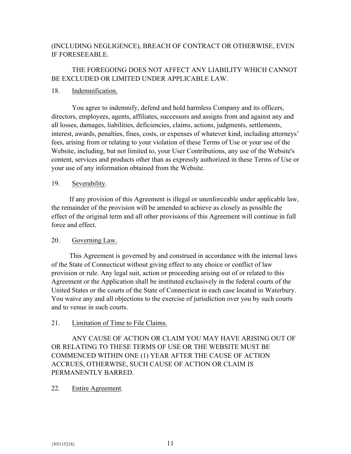# (INCLUDING NEGLIGENCE), BREACH OF CONTRACT OR OTHERWISE, EVEN IF FORESEEABLE.

# THE FOREGOING DOES NOT AFFECT ANY LIABILITY WHICH CANNOT BE EXCLUDED OR LIMITED UNDER APPLICABLE LAW.

### 18. Indemnification.

You agree to indemnify, defend and hold harmless Company and its officers, directors, employees, agents, affiliates, successors and assigns from and against any and all losses, damages, liabilities, deficiencies, claims, actions, judgments, settlements, interest, awards, penalties, fines, costs, or expenses of whatever kind, including attorneys' fees, arising from or relating to your violation of these Terms of Use or your use of the Website, including, but not limited to, your User Contributions, any use of the Website's content, services and products other than as expressly authorized in these Terms of Use or your use of any information obtained from the Website.

### 19. Severability.

If any provision of this Agreement is illegal or unenforceable under applicable law, the remainder of the provision will be amended to achieve as closely as possible the effect of the original term and all other provisions of this Agreement will continue in full force and effect.

# 20. Governing Law.

This Agreement is governed by and construed in accordance with the internal laws of the State of Connecticut without giving effect to any choice or conflict of law provision or rule. Any legal suit, action or proceeding arising out of or related to this Agreement or the Application shall be instituted exclusively in the federal courts of the United States or the courts of the State of Connecticut in each case located in Waterbury. You waive any and all objections to the exercise of jurisdiction over you by such courts and to venue in such courts.

# 21. Limitation of Time to File Claims.

ANY CAUSE OF ACTION OR CLAIM YOU MAY HAVE ARISING OUT OF OR RELATING TO THESE TERMS OF USE OR THE WEBSITE MUST BE COMMENCED WITHIN ONE (1) YEAR AFTER THE CAUSE OF ACTION ACCRUES, OTHERWISE, SUCH CAUSE OF ACTION OR CLAIM IS PERMANENTLY BARRED.

# 22. Entire Agreement.